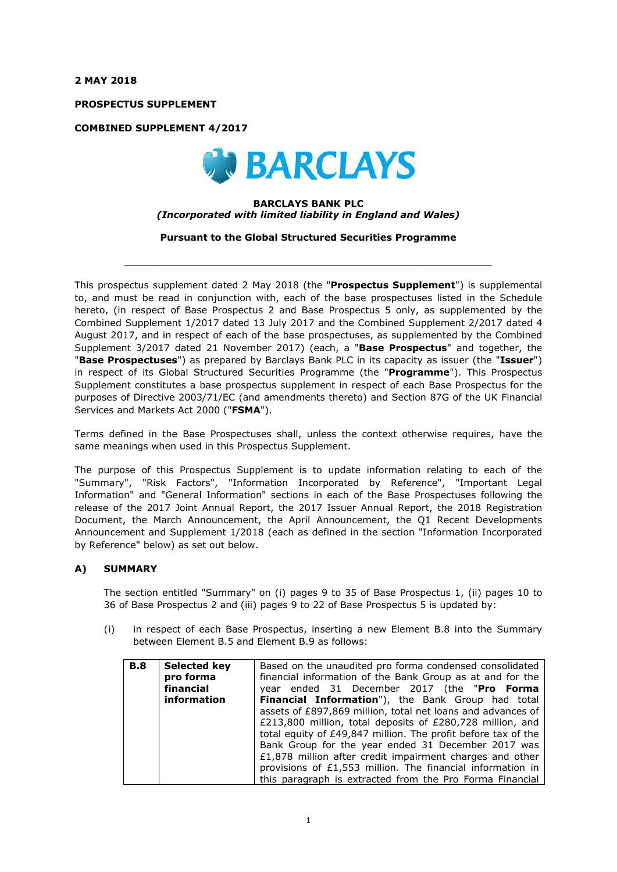**2 MAY 2018**

**PROSPECTUS SUPPLEMENT**

**COMBINED SUPPLEMENT 4/2017**



### **BARCLAYS BANK PLC** *(Incorporated with limited liability in England and Wales)*

**Pursuant to the Global Structured Securities Programme**

 $\_$  ,  $\_$  ,  $\_$  ,  $\_$  ,  $\_$  ,  $\_$  ,  $\_$  ,  $\_$  ,  $\_$  ,  $\_$  ,  $\_$  ,  $\_$  ,  $\_$  ,  $\_$  ,  $\_$  ,  $\_$  ,  $\_$  ,  $\_$  ,  $\_$  ,  $\_$  ,  $\_$  ,  $\_$  ,  $\_$  ,  $\_$  ,  $\_$  ,  $\_$  ,  $\_$  ,  $\_$  ,  $\_$  ,  $\_$  ,  $\_$  ,  $\_$  ,  $\_$  ,  $\_$  ,  $\_$  ,  $\_$  ,  $\_$  ,

This prospectus supplement dated 2 May 2018 (the "**Prospectus Supplement**") is supplemental to, and must be read in conjunction with, each of the base prospectuses listed in the Schedule hereto, (in respect of Base Prospectus 2 and Base Prospectus 5 only, as supplemented by the Combined Supplement 1/2017 dated 13 July 2017 and the Combined Supplement 2/2017 dated 4 August 2017, and in respect of each of the base prospectuses, as supplemented by the Combined Supplement 3/2017 dated 21 November 2017) (each, a "**Base Prospectus**" and together, the "**Base Prospectuses**") as prepared by Barclays Bank PLC in its capacity as issuer (the "**Issuer**") in respect of its Global Structured Securities Programme (the "**Programme**"). This Prospectus Supplement constitutes a base prospectus supplement in respect of each Base Prospectus for the purposes of Directive 2003/71/EC (and amendments thereto) and Section 87G of the UK Financial Services and Markets Act 2000 ("**FSMA**").

Terms defined in the Base Prospectuses shall, unless the context otherwise requires, have the same meanings when used in this Prospectus Supplement.

The purpose of this Prospectus Supplement is to update information relating to each of the "Summary", "Risk Factors", "Information Incorporated by Reference", "Important Legal Information" and "General Information" sections in each of the Base Prospectuses following the release of the 2017 Joint Annual Report, the 2017 Issuer Annual Report, the 2018 Registration Document, the March Announcement, the April Announcement, the Q1 Recent Developments Announcement and Supplement 1/2018 (each as defined in the section "Information Incorporated by Reference" below) as set out below.

## **A) SUMMARY**

The section entitled "Summary" on (i) pages 9 to 35 of Base Prospectus 1, (ii) pages 10 to 36 of Base Prospectus 2 and (iii) pages 9 to 22 of Base Prospectus 5 is updated by:

(i) in respect of each Base Prospectus, inserting a new Element B.8 into the Summary between Element B.5 and Element B.9 as follows:

| <b>B.8</b> | Selected key<br>pro forma<br>financial | Based on the unaudited pro forma condensed consolidated<br>financial information of the Bank Group as at and for the<br>year ended 31 December 2017 (the "Pro Forma |  |  |
|------------|----------------------------------------|---------------------------------------------------------------------------------------------------------------------------------------------------------------------|--|--|
|            | information                            | <b>Financial Information")</b> , the Bank Group had total                                                                                                           |  |  |
|            |                                        |                                                                                                                                                                     |  |  |
|            |                                        | assets of £897,869 million, total net loans and advances of                                                                                                         |  |  |
|            |                                        | £213,800 million, total deposits of £280,728 million, and                                                                                                           |  |  |
|            |                                        | total equity of £49,847 million. The profit before tax of the                                                                                                       |  |  |
|            |                                        | Bank Group for the year ended 31 December 2017 was                                                                                                                  |  |  |
|            |                                        | £1,878 million after credit impairment charges and other                                                                                                            |  |  |
|            |                                        | provisions of £1,553 million. The financial information in                                                                                                          |  |  |
|            |                                        | this paragraph is extracted from the Pro Forma Financial                                                                                                            |  |  |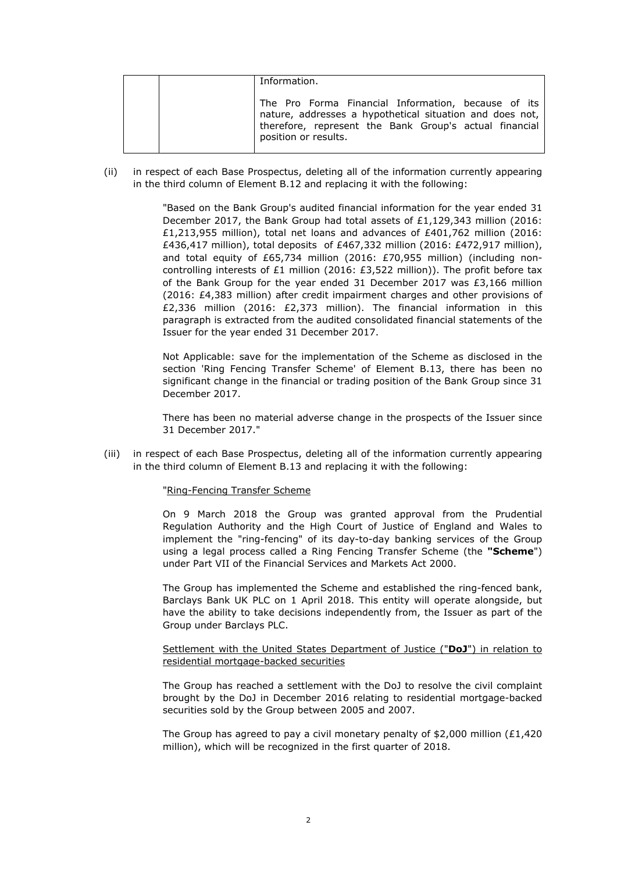| Information.                                                                                                                                                                                      |
|---------------------------------------------------------------------------------------------------------------------------------------------------------------------------------------------------|
| The Pro Forma Financial Information, because of its<br>nature, addresses a hypothetical situation and does not,<br>therefore, represent the Bank Group's actual financial<br>position or results. |

(ii) in respect of each Base Prospectus, deleting all of the information currently appearing in the third column of Element B.12 and replacing it with the following:

> "Based on the Bank Group's audited financial information for the year ended 31 December 2017, the Bank Group had total assets of £1,129,343 million (2016: £1,213,955 million), total net loans and advances of £401,762 million (2016: £436,417 million), total deposits of £467,332 million (2016: £472,917 million), and total equity of £65,734 million (2016: £70,955 million) (including noncontrolling interests of £1 million (2016: £3,522 million)). The profit before tax of the Bank Group for the year ended 31 December 2017 was £3,166 million (2016: £4,383 million) after credit impairment charges and other provisions of £2,336 million (2016: £2,373 million). The financial information in this paragraph is extracted from the audited consolidated financial statements of the Issuer for the year ended 31 December 2017.

> Not Applicable: save for the implementation of the Scheme as disclosed in the section 'Ring Fencing Transfer Scheme' of Element B.13, there has been no significant change in the financial or trading position of the Bank Group since 31 December 2017.

> There has been no material adverse change in the prospects of the Issuer since 31 December 2017."

(iii) in respect of each Base Prospectus, deleting all of the information currently appearing in the third column of Element B.13 and replacing it with the following:

#### "Ring-Fencing Transfer Scheme

On 9 March 2018 the Group was granted approval from the Prudential Regulation Authority and the High Court of Justice of England and Wales to implement the "ring-fencing" of its day-to-day banking services of the Group using a legal process called a Ring Fencing Transfer Scheme (the **"Scheme**") under Part VII of the Financial Services and Markets Act 2000.

The Group has implemented the Scheme and established the ring-fenced bank, Barclays Bank UK PLC on 1 April 2018. This entity will operate alongside, but have the ability to take decisions independently from, the Issuer as part of the Group under Barclays PLC.

### Settlement with the United States Department of Justice ("**DoJ**") in relation to residential mortgage-backed securities

The Group has reached a settlement with the DoJ to resolve the civil complaint brought by the DoJ in December 2016 relating to residential mortgage-backed securities sold by the Group between 2005 and 2007.

The Group has agreed to pay a civil monetary penalty of \$2,000 million (£1,420) million), which will be recognized in the first quarter of 2018.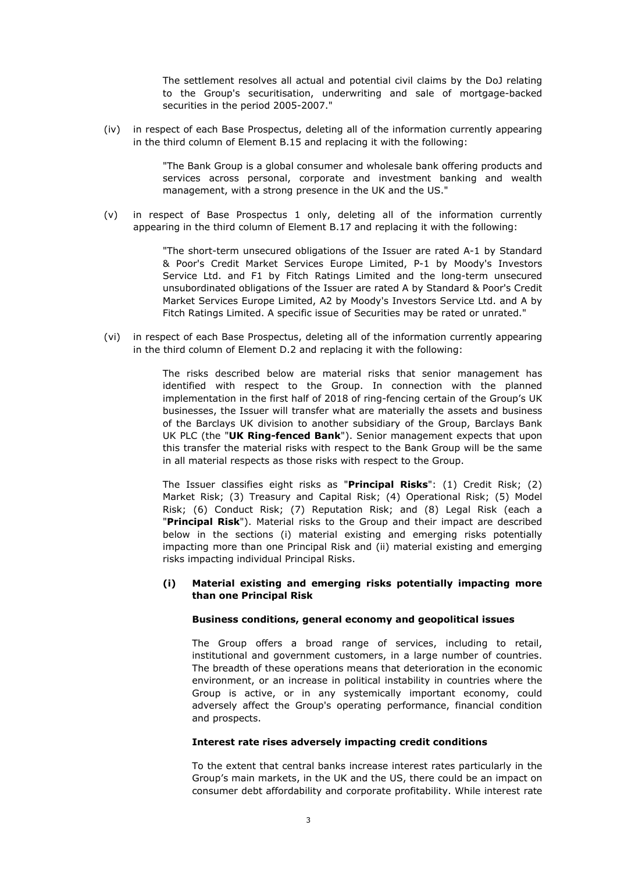The settlement resolves all actual and potential civil claims by the DoJ relating to the Group's securitisation, underwriting and sale of mortgage-backed securities in the period 2005-2007."

(iv) in respect of each Base Prospectus, deleting all of the information currently appearing in the third column of Element B.15 and replacing it with the following:

> "The Bank Group is a global consumer and wholesale bank offering products and services across personal, corporate and investment banking and wealth management, with a strong presence in the UK and the US."

(v) in respect of Base Prospectus 1 only, deleting all of the information currently appearing in the third column of Element B.17 and replacing it with the following:

> "The short-term unsecured obligations of the Issuer are rated A-1 by Standard & Poor's Credit Market Services Europe Limited, P-1 by Moody's Investors Service Ltd. and F1 by Fitch Ratings Limited and the long-term unsecured unsubordinated obligations of the Issuer are rated A by Standard & Poor's Credit Market Services Europe Limited, A2 by Moody's Investors Service Ltd. and A by Fitch Ratings Limited. A specific issue of Securities may be rated or unrated."

(vi) in respect of each Base Prospectus, deleting all of the information currently appearing in the third column of Element D.2 and replacing it with the following:

> The risks described below are material risks that senior management has identified with respect to the Group. In connection with the planned implementation in the first half of 2018 of ring-fencing certain of the Group's UK businesses, the Issuer will transfer what are materially the assets and business of the Barclays UK division to another subsidiary of the Group, Barclays Bank UK PLC (the "**UK Ring-fenced Bank**"). Senior management expects that upon this transfer the material risks with respect to the Bank Group will be the same in all material respects as those risks with respect to the Group.

> The Issuer classifies eight risks as "**Principal Risks**": (1) Credit Risk; (2) Market Risk; (3) Treasury and Capital Risk; (4) Operational Risk; (5) Model Risk; (6) Conduct Risk; (7) Reputation Risk; and (8) Legal Risk (each a "**Principal Risk**"). Material risks to the Group and their impact are described below in the sections (i) material existing and emerging risks potentially impacting more than one Principal Risk and (ii) material existing and emerging risks impacting individual Principal Risks.

### **(i) Material existing and emerging risks potentially impacting more than one Principal Risk**

### **Business conditions, general economy and geopolitical issues**

The Group offers a broad range of services, including to retail, institutional and government customers, in a large number of countries. The breadth of these operations means that deterioration in the economic environment, or an increase in political instability in countries where the Group is active, or in any systemically important economy, could adversely affect the Group's operating performance, financial condition and prospects.

## **Interest rate rises adversely impacting credit conditions**

To the extent that central banks increase interest rates particularly in the Group's main markets, in the UK and the US, there could be an impact on consumer debt affordability and corporate profitability. While interest rate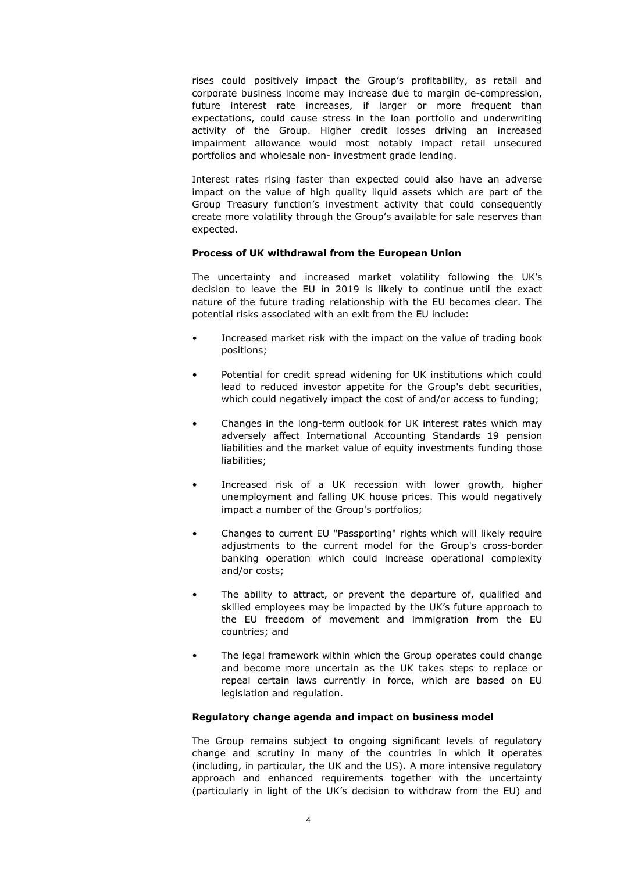rises could positively impact the Group's profitability, as retail and corporate business income may increase due to margin de-compression, future interest rate increases, if larger or more frequent than expectations, could cause stress in the loan portfolio and underwriting activity of the Group. Higher credit losses driving an increased impairment allowance would most notably impact retail unsecured portfolios and wholesale non- investment grade lending.

Interest rates rising faster than expected could also have an adverse impact on the value of high quality liquid assets which are part of the Group Treasury function's investment activity that could consequently create more volatility through the Group's available for sale reserves than expected.

### **Process of UK withdrawal from the European Union**

The uncertainty and increased market volatility following the UK's decision to leave the EU in 2019 is likely to continue until the exact nature of the future trading relationship with the EU becomes clear. The potential risks associated with an exit from the EU include:

- Increased market risk with the impact on the value of trading book positions;
- Potential for credit spread widening for UK institutions which could lead to reduced investor appetite for the Group's debt securities, which could negatively impact the cost of and/or access to funding;
- Changes in the long-term outlook for UK interest rates which may adversely affect International Accounting Standards 19 pension liabilities and the market value of equity investments funding those liabilities;
- Increased risk of a UK recession with lower growth, higher unemployment and falling UK house prices. This would negatively impact a number of the Group's portfolios;
- Changes to current EU "Passporting" rights which will likely require adjustments to the current model for the Group's cross-border banking operation which could increase operational complexity and/or costs;
- The ability to attract, or prevent the departure of, qualified and skilled employees may be impacted by the UK's future approach to the EU freedom of movement and immigration from the EU countries; and
- The legal framework within which the Group operates could change and become more uncertain as the UK takes steps to replace or repeal certain laws currently in force, which are based on EU legislation and regulation.

## **Regulatory change agenda and impact on business model**

The Group remains subject to ongoing significant levels of regulatory change and scrutiny in many of the countries in which it operates (including, in particular, the UK and the US). A more intensive regulatory approach and enhanced requirements together with the uncertainty (particularly in light of the UK's decision to withdraw from the EU) and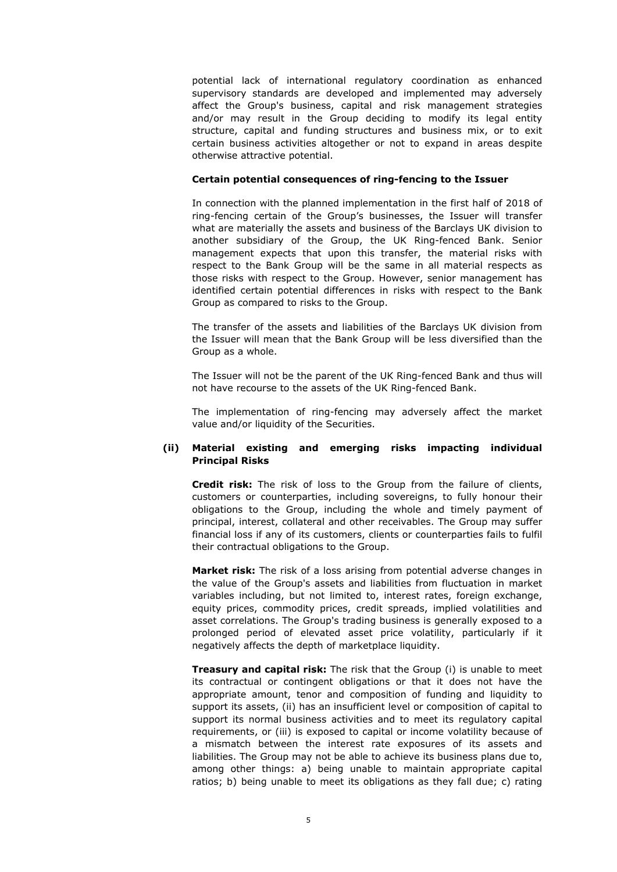potential lack of international regulatory coordination as enhanced supervisory standards are developed and implemented may adversely affect the Group's business, capital and risk management strategies and/or may result in the Group deciding to modify its legal entity structure, capital and funding structures and business mix, or to exit certain business activities altogether or not to expand in areas despite otherwise attractive potential.

### **Certain potential consequences of ring-fencing to the Issuer**

In connection with the planned implementation in the first half of 2018 of ring-fencing certain of the Group's businesses, the Issuer will transfer what are materially the assets and business of the Barclays UK division to another subsidiary of the Group, the UK Ring-fenced Bank. Senior management expects that upon this transfer, the material risks with respect to the Bank Group will be the same in all material respects as those risks with respect to the Group. However, senior management has identified certain potential differences in risks with respect to the Bank Group as compared to risks to the Group.

The transfer of the assets and liabilities of the Barclays UK division from the Issuer will mean that the Bank Group will be less diversified than the Group as a whole.

The Issuer will not be the parent of the UK Ring-fenced Bank and thus will not have recourse to the assets of the UK Ring-fenced Bank.

The implementation of ring-fencing may adversely affect the market value and/or liquidity of the Securities.

## **(ii) Material existing and emerging risks impacting individual Principal Risks**

**Credit risk:** The risk of loss to the Group from the failure of clients, customers or counterparties, including sovereigns, to fully honour their obligations to the Group, including the whole and timely payment of principal, interest, collateral and other receivables. The Group may suffer financial loss if any of its customers, clients or counterparties fails to fulfil their contractual obligations to the Group.

**Market risk:** The risk of a loss arising from potential adverse changes in the value of the Group's assets and liabilities from fluctuation in market variables including, but not limited to, interest rates, foreign exchange, equity prices, commodity prices, credit spreads, implied volatilities and asset correlations. The Group's trading business is generally exposed to a prolonged period of elevated asset price volatility, particularly if it negatively affects the depth of marketplace liquidity.

**Treasury and capital risk:** The risk that the Group (i) is unable to meet its contractual or contingent obligations or that it does not have the appropriate amount, tenor and composition of funding and liquidity to support its assets, (ii) has an insufficient level or composition of capital to support its normal business activities and to meet its regulatory capital requirements, or (iii) is exposed to capital or income volatility because of a mismatch between the interest rate exposures of its assets and liabilities. The Group may not be able to achieve its business plans due to, among other things: a) being unable to maintain appropriate capital ratios; b) being unable to meet its obligations as they fall due; c) rating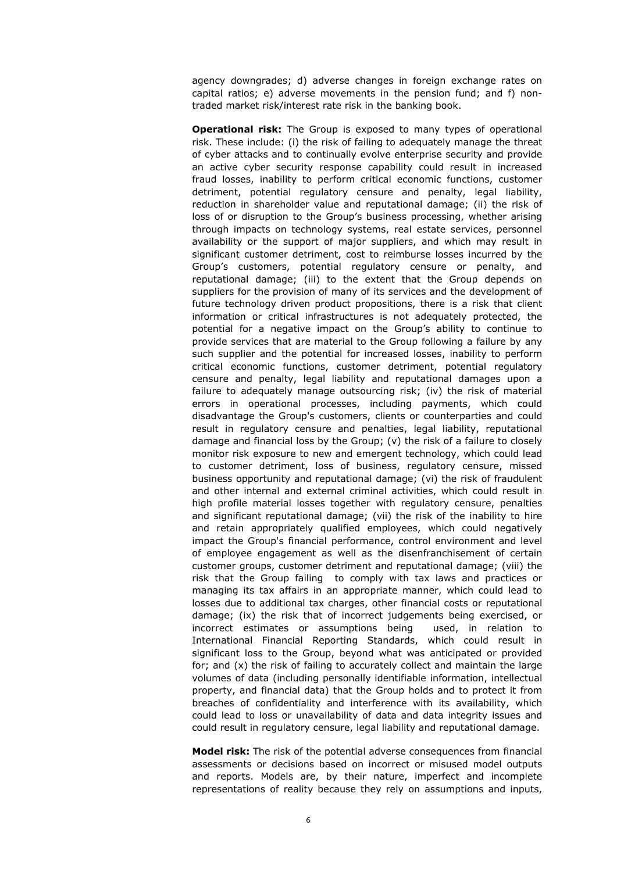agency downgrades; d) adverse changes in foreign exchange rates on capital ratios; e) adverse movements in the pension fund; and f) nontraded market risk/interest rate risk in the banking book.

**Operational risk:** The Group is exposed to many types of operational risk. These include: (i) the risk of failing to adequately manage the threat of cyber attacks and to continually evolve enterprise security and provide an active cyber security response capability could result in increased fraud losses, inability to perform critical economic functions, customer detriment, potential regulatory censure and penalty, legal liability, reduction in shareholder value and reputational damage; (ii) the risk of loss of or disruption to the Group's business processing, whether arising through impacts on technology systems, real estate services, personnel availability or the support of major suppliers, and which may result in significant customer detriment, cost to reimburse losses incurred by the Group's customers, potential regulatory censure or penalty, and reputational damage; (iii) to the extent that the Group depends on suppliers for the provision of many of its services and the development of future technology driven product propositions, there is a risk that client information or critical infrastructures is not adequately protected, the potential for a negative impact on the Group's ability to continue to provide services that are material to the Group following a failure by any such supplier and the potential for increased losses, inability to perform critical economic functions, customer detriment, potential regulatory censure and penalty, legal liability and reputational damages upon a failure to adequately manage outsourcing risk; (iv) the risk of material errors in operational processes, including payments, which could disadvantage the Group's customers, clients or counterparties and could result in regulatory censure and penalties, legal liability, reputational damage and financial loss by the Group; (v) the risk of a failure to closely monitor risk exposure to new and emergent technology, which could lead to customer detriment, loss of business, regulatory censure, missed business opportunity and reputational damage; (vi) the risk of fraudulent and other internal and external criminal activities, which could result in high profile material losses together with regulatory censure, penalties and significant reputational damage; (vii) the risk of the inability to hire and retain appropriately qualified employees, which could negatively impact the Group's financial performance, control environment and level of employee engagement as well as the disenfranchisement of certain customer groups, customer detriment and reputational damage; (viii) the risk that the Group failing to comply with tax laws and practices or managing its tax affairs in an appropriate manner, which could lead to losses due to additional tax charges, other financial costs or reputational damage; (ix) the risk that of incorrect judgements being exercised, or incorrect estimates or assumptions being used, in relation to International Financial Reporting Standards, which could result in significant loss to the Group, beyond what was anticipated or provided for; and (x) the risk of failing to accurately collect and maintain the large volumes of data (including personally identifiable information, intellectual property, and financial data) that the Group holds and to protect it from breaches of confidentiality and interference with its availability, which could lead to loss or unavailability of data and data integrity issues and could result in regulatory censure, legal liability and reputational damage.

**Model risk:** The risk of the potential adverse consequences from financial assessments or decisions based on incorrect or misused model outputs and reports. Models are, by their nature, imperfect and incomplete representations of reality because they rely on assumptions and inputs,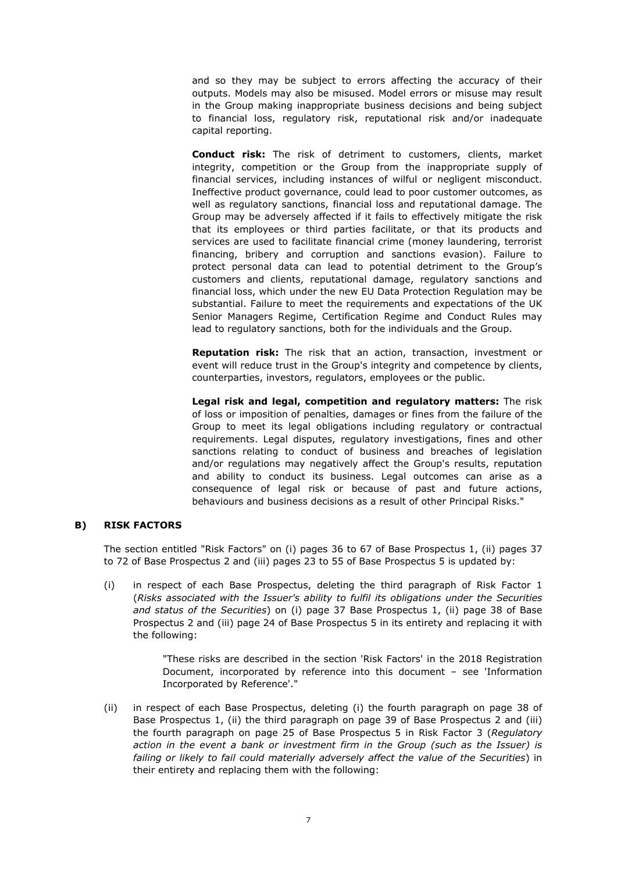and so they may be subject to errors affecting the accuracy of their outputs. Models may also be misused. Model errors or misuse may result in the Group making inappropriate business decisions and being subject to financial loss, regulatory risk, reputational risk and/or inadequate capital reporting.

**Conduct risk:** The risk of detriment to customers, clients, market integrity, competition or the Group from the inappropriate supply of financial services, including instances of wilful or negligent misconduct. Ineffective product governance, could lead to poor customer outcomes, as well as regulatory sanctions, financial loss and reputational damage. The Group may be adversely affected if it fails to effectively mitigate the risk that its employees or third parties facilitate, or that its products and services are used to facilitate financial crime (money laundering, terrorist financing, bribery and corruption and sanctions evasion). Failure to protect personal data can lead to potential detriment to the Group's customers and clients, reputational damage, regulatory sanctions and financial loss, which under the new EU Data Protection Regulation may be substantial. Failure to meet the requirements and expectations of the UK Senior Managers Regime, Certification Regime and Conduct Rules may lead to regulatory sanctions, both for the individuals and the Group.

**Reputation risk:** The risk that an action, transaction, investment or event will reduce trust in the Group's integrity and competence by clients, counterparties, investors, regulators, employees or the public.

**Legal risk and legal, competition and regulatory matters:** The risk of loss or imposition of penalties, damages or fines from the failure of the Group to meet its legal obligations including regulatory or contractual requirements. Legal disputes, regulatory investigations, fines and other sanctions relating to conduct of business and breaches of legislation and/or regulations may negatively affect the Group's results, reputation and ability to conduct its business. Legal outcomes can arise as a consequence of legal risk or because of past and future actions, behaviours and business decisions as a result of other Principal Risks."

## **B) RISK FACTORS**

The section entitled "Risk Factors" on (i) pages 36 to 67 of Base Prospectus 1, (ii) pages 37 to 72 of Base Prospectus 2 and (iii) pages 23 to 55 of Base Prospectus 5 is updated by:

(i) in respect of each Base Prospectus, deleting the third paragraph of Risk Factor 1 (*Risks associated with the Issuer's ability to fulfil its obligations under the Securities and status of the Securities*) on (i) page 37 Base Prospectus 1, (ii) page 38 of Base Prospectus 2 and (iii) page 24 of Base Prospectus 5 in its entirety and replacing it with the following:

> "These risks are described in the section 'Risk Factors' in the 2018 Registration Document, incorporated by reference into this document – see 'Information Incorporated by Reference'."

(ii) in respect of each Base Prospectus, deleting (i) the fourth paragraph on page 38 of Base Prospectus 1, (ii) the third paragraph on page 39 of Base Prospectus 2 and (iii) the fourth paragraph on page 25 of Base Prospectus 5 in Risk Factor 3 (*Regulatory action in the event a bank or investment firm in the Group (such as the Issuer) is failing or likely to fail could materially adversely affect the value of the Securities*) in their entirety and replacing them with the following: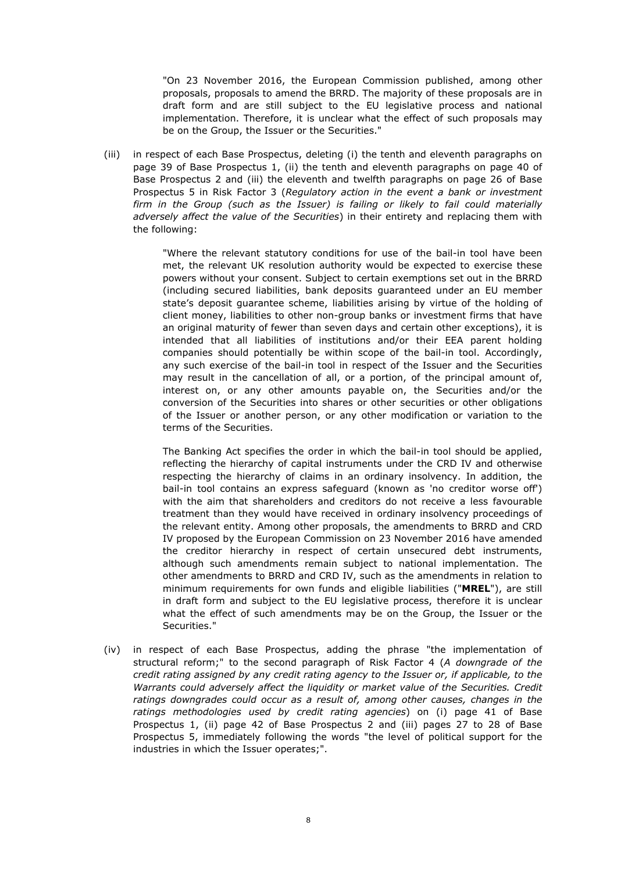"On 23 November 2016, the European Commission published, among other proposals, proposals to amend the BRRD. The majority of these proposals are in draft form and are still subject to the EU legislative process and national implementation. Therefore, it is unclear what the effect of such proposals may be on the Group, the Issuer or the Securities."

(iii) in respect of each Base Prospectus, deleting (i) the tenth and eleventh paragraphs on page 39 of Base Prospectus 1, (ii) the tenth and eleventh paragraphs on page 40 of Base Prospectus 2 and (iii) the eleventh and twelfth paragraphs on page 26 of Base Prospectus 5 in Risk Factor 3 (*Regulatory action in the event a bank or investment*  firm in the Group (such as the Issuer) is failing or likely to fail could materially *adversely affect the value of the Securities*) in their entirety and replacing them with the following:

> "Where the relevant statutory conditions for use of the bail-in tool have been met, the relevant UK resolution authority would be expected to exercise these powers without your consent. Subject to certain exemptions set out in the BRRD (including secured liabilities, bank deposits guaranteed under an EU member state's deposit guarantee scheme, liabilities arising by virtue of the holding of client money, liabilities to other non-group banks or investment firms that have an original maturity of fewer than seven days and certain other exceptions), it is intended that all liabilities of institutions and/or their EEA parent holding companies should potentially be within scope of the bail-in tool. Accordingly, any such exercise of the bail-in tool in respect of the Issuer and the Securities may result in the cancellation of all, or a portion, of the principal amount of, interest on, or any other amounts payable on, the Securities and/or the conversion of the Securities into shares or other securities or other obligations of the Issuer or another person, or any other modification or variation to the terms of the Securities.

> The Banking Act specifies the order in which the bail-in tool should be applied, reflecting the hierarchy of capital instruments under the CRD IV and otherwise respecting the hierarchy of claims in an ordinary insolvency. In addition, the bail-in tool contains an express safeguard (known as 'no creditor worse off') with the aim that shareholders and creditors do not receive a less favourable treatment than they would have received in ordinary insolvency proceedings of the relevant entity. Among other proposals, the amendments to BRRD and CRD IV proposed by the European Commission on 23 November 2016 have amended the creditor hierarchy in respect of certain unsecured debt instruments, although such amendments remain subject to national implementation. The other amendments to BRRD and CRD IV, such as the amendments in relation to minimum requirements for own funds and eligible liabilities ("**MREL**"), are still in draft form and subject to the EU legislative process, therefore it is unclear what the effect of such amendments may be on the Group, the Issuer or the Securities."

(iv) in respect of each Base Prospectus, adding the phrase "the implementation of structural reform;" to the second paragraph of Risk Factor 4 (*A downgrade of the credit rating assigned by any credit rating agency to the Issuer or, if applicable, to the*  Warrants could adversely affect the liquidity or market value of the Securities. Credit *ratings downgrades could occur as a result of, among other causes, changes in the ratings methodologies used by credit rating agencies*) on (i) page 41 of Base Prospectus 1, (ii) page 42 of Base Prospectus 2 and (iii) pages 27 to 28 of Base Prospectus 5, immediately following the words "the level of political support for the industries in which the Issuer operates;".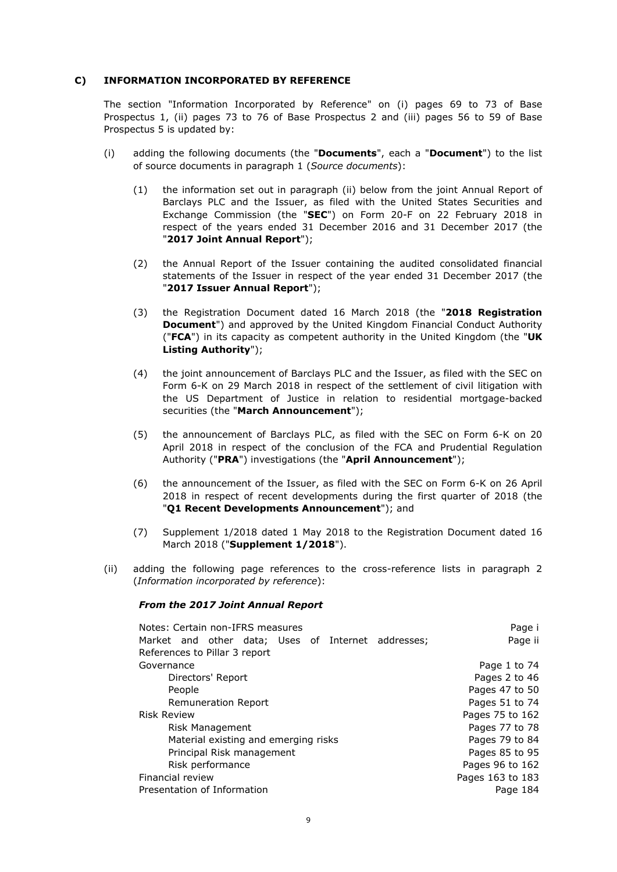## **C) INFORMATION INCORPORATED BY REFERENCE**

The section "Information Incorporated by Reference" on (i) pages 69 to 73 of Base Prospectus 1, (ii) pages 73 to 76 of Base Prospectus 2 and (iii) pages 56 to 59 of Base Prospectus 5 is updated by:

- (i) adding the following documents (the "**Documents**", each a "**Document**") to the list of source documents in paragraph 1 (*Source documents*):
	- (1) the information set out in paragraph (ii) below from the joint Annual Report of Barclays PLC and the Issuer, as filed with the United States Securities and Exchange Commission (the "**SEC**") on Form 20-F on 22 February 2018 in respect of the years ended 31 December 2016 and 31 December 2017 (the "**2017 Joint Annual Report**");
	- (2) the Annual Report of the Issuer containing the audited consolidated financial statements of the Issuer in respect of the year ended 31 December 2017 (the "**2017 Issuer Annual Report**");
	- (3) the Registration Document dated 16 March 2018 (the "**2018 Registration Document**") and approved by the United Kingdom Financial Conduct Authority ("**FCA**") in its capacity as competent authority in the United Kingdom (the "**UK Listing Authority**");
	- (4) the joint announcement of Barclays PLC and the Issuer, as filed with the SEC on Form 6-K on 29 March 2018 in respect of the settlement of civil litigation with the US Department of Justice in relation to residential mortgage-backed securities (the "**March Announcement**");
	- (5) the announcement of Barclays PLC, as filed with the SEC on Form 6-K on 20 April 2018 in respect of the conclusion of the FCA and Prudential Regulation Authority ("**PRA**") investigations (the "**April Announcement**");
	- (6) the announcement of the Issuer, as filed with the SEC on Form 6-K on 26 April 2018 in respect of recent developments during the first quarter of 2018 (the "**Q1 Recent Developments Announcement**"); and
	- (7) Supplement 1/2018 dated 1 May 2018 to the Registration Document dated 16 March 2018 ("**Supplement 1/2018**").
- (ii) adding the following page references to the cross-reference lists in paragraph 2 (*Information incorporated by reference*):

## *From the 2017 Joint Annual Report*

| Notes: Certain non-IFRS measures                   | Page i           |
|----------------------------------------------------|------------------|
| Market and other data; Uses of Internet addresses; | Page ii          |
| References to Pillar 3 report                      |                  |
| Governance                                         | Page 1 to 74     |
| Directors' Report                                  | Pages 2 to 46    |
| People                                             | Pages 47 to 50   |
| Remuneration Report                                | Pages 51 to 74   |
| <b>Risk Review</b>                                 | Pages 75 to 162  |
| Risk Management                                    | Pages 77 to 78   |
| Material existing and emerging risks               | Pages 79 to 84   |
| Principal Risk management                          | Pages 85 to 95   |
| Risk performance                                   | Pages 96 to 162  |
| Financial review                                   | Pages 163 to 183 |
| Presentation of Information                        | Page 184         |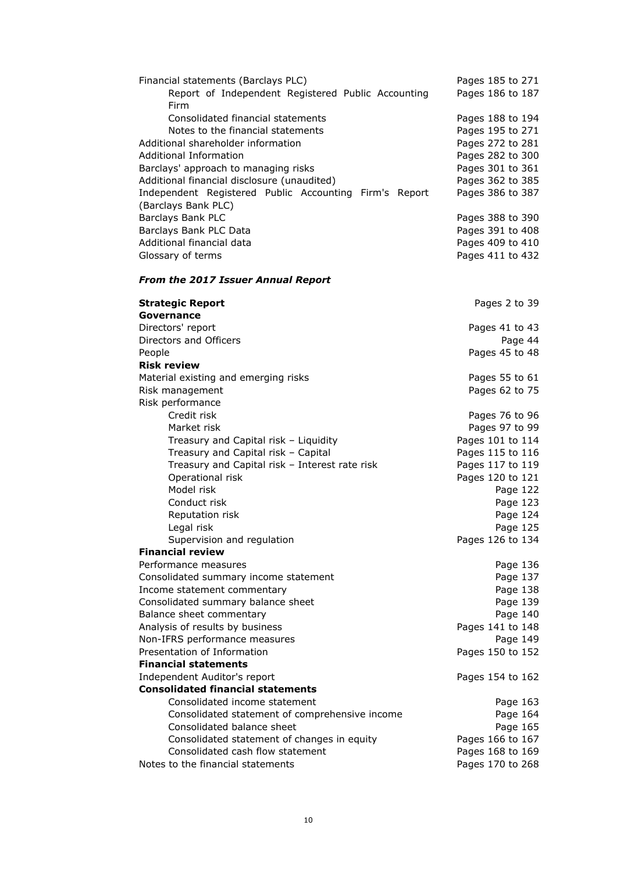| Financial statements (Barclays PLC)                            | Pages 185 to 271     |
|----------------------------------------------------------------|----------------------|
| Report of Independent Registered Public Accounting             | Pages 186 to 187     |
| Firm                                                           |                      |
| Consolidated financial statements                              | Pages 188 to 194     |
| Notes to the financial statements                              | Pages 195 to 271     |
| Additional shareholder information                             | Pages 272 to 281     |
| <b>Additional Information</b>                                  | Pages 282 to 300     |
| Barclays' approach to managing risks                           | Pages 301 to 361     |
| Additional financial disclosure (unaudited)                    | Pages 362 to 385     |
| Independent Registered Public Accounting Firm's Report         | Pages 386 to 387     |
| (Barclays Bank PLC)                                            |                      |
| Barclays Bank PLC                                              | Pages 388 to 390     |
| Barclays Bank PLC Data                                         | Pages 391 to 408     |
| Additional financial data                                      | Pages 409 to 410     |
| Glossary of terms                                              | Pages 411 to 432     |
| <b>From the 2017 Issuer Annual Report</b>                      |                      |
| <b>Strategic Report</b>                                        | Pages 2 to 39        |
| Governance                                                     |                      |
| Directors' report                                              | Pages 41 to 43       |
| Directors and Officers                                         | Page 44              |
| People                                                         | Pages 45 to 48       |
| <b>Risk review</b>                                             |                      |
| Material existing and emerging risks                           | Pages 55 to 61       |
| Risk management                                                | Pages 62 to 75       |
| Risk performance                                               |                      |
| Credit risk                                                    | Pages 76 to 96       |
| Market risk                                                    | Pages 97 to 99       |
| Treasury and Capital risk - Liquidity                          | Pages 101 to 114     |
| Treasury and Capital risk - Capital                            | Pages 115 to 116     |
| Treasury and Capital risk - Interest rate risk                 | Pages 117 to 119     |
| Operational risk                                               | Pages 120 to 121     |
| Model risk                                                     | Page 122             |
| Conduct risk                                                   | Page 123             |
| Reputation risk                                                | Page 124             |
| Legal risk                                                     | Page 125             |
| Supervision and regulation                                     | Pages 126 to 134     |
| <b>Financial review</b>                                        |                      |
| Performance measures                                           | Page 136             |
| Consolidated summary income statement                          | Page 137             |
| Income statement commentary                                    | Page 138             |
| Consolidated summary balance sheet<br>Balance sheet commentary | Page 139<br>Page 140 |
| Analysis of results by business                                | Pages 141 to 148     |
| Non-IFRS performance measures                                  | Page 149             |
| Presentation of Information                                    | Pages 150 to 152     |
| <b>Financial statements</b>                                    |                      |
| Independent Auditor's report                                   | Pages 154 to 162     |
| <b>Consolidated financial statements</b>                       |                      |
| Consolidated income statement                                  | Page 163             |
| Consolidated statement of comprehensive income                 | Page 164             |
| Consolidated balance sheet                                     | Page 165             |
| Consolidated statement of changes in equity                    | Pages 166 to 167     |
| Consolidated cash flow statement                               | Pages 168 to 169     |
| Notes to the financial statements                              | Pages 170 to 268     |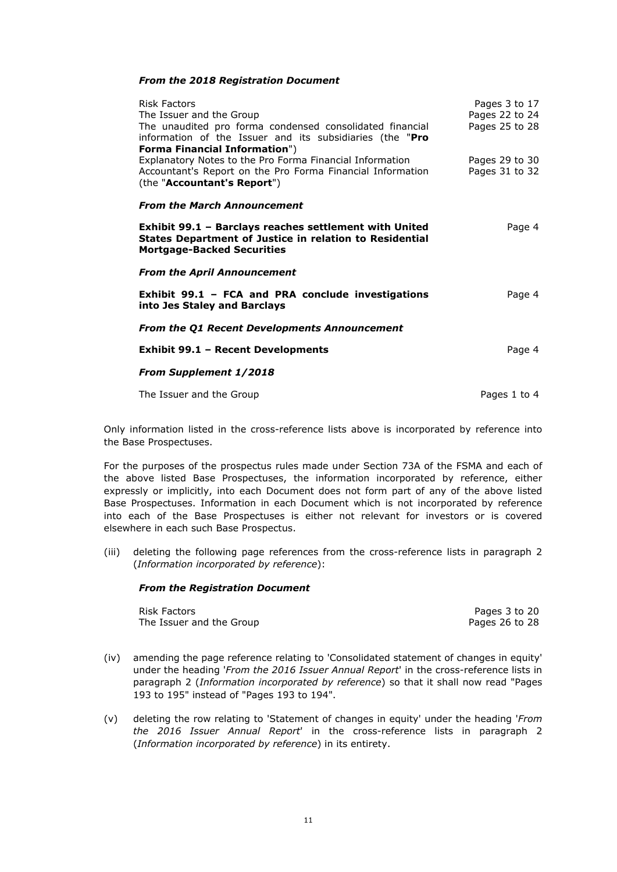## *From the 2018 Registration Document*

| Risk Factors<br>The Issuer and the Group<br>The unaudited pro forma condensed consolidated financial<br>information of the Issuer and its subsidiaries (the "Pro<br><b>Forma Financial Information")</b> | Pages 3 to 17<br>Pages 22 to 24<br>Pages 25 to 28 |
|----------------------------------------------------------------------------------------------------------------------------------------------------------------------------------------------------------|---------------------------------------------------|
| Explanatory Notes to the Pro Forma Financial Information<br>Accountant's Report on the Pro Forma Financial Information<br>(the "Accountant's Report")                                                    | Pages 29 to 30<br>Pages 31 to 32                  |
| <b>From the March Announcement</b>                                                                                                                                                                       |                                                   |
| Exhibit 99.1 - Barclays reaches settlement with United<br><b>States Department of Justice in relation to Residential</b><br><b>Mortgage-Backed Securities</b>                                            | Page 4                                            |
| <b>From the April Announcement</b>                                                                                                                                                                       |                                                   |
| Exhibit 99.1 - FCA and PRA conclude investigations<br>into Jes Staley and Barclays                                                                                                                       | Page 4                                            |
| <b>From the Q1 Recent Developments Announcement</b>                                                                                                                                                      |                                                   |
| <b>Exhibit 99.1 - Recent Developments</b>                                                                                                                                                                | Page 4                                            |
| <b>From Supplement 1/2018</b>                                                                                                                                                                            |                                                   |
| The Issuer and the Group                                                                                                                                                                                 | Pages 1 to 4                                      |

Only information listed in the cross-reference lists above is incorporated by reference into the Base Prospectuses.

For the purposes of the prospectus rules made under Section 73A of the FSMA and each of the above listed Base Prospectuses, the information incorporated by reference, either expressly or implicitly, into each Document does not form part of any of the above listed Base Prospectuses. Information in each Document which is not incorporated by reference into each of the Base Prospectuses is either not relevant for investors or is covered elsewhere in each such Base Prospectus.

(iii) deleting the following page references from the cross-reference lists in paragraph 2 (*Information incorporated by reference*):

## *From the Registration Document*

Risk Factors Pages 3 to 20<br>
The Issuer and the Group extra and the Group extra and the Group extra and the Group extra and the Group extra and the Group extra and the Group extra and the Group extra and the Group extra and The Issuer and the Group

- (iv) amending the page reference relating to 'Consolidated statement of changes in equity' under the heading '*From the 2016 Issuer Annual Report*' in the cross-reference lists in paragraph 2 (*Information incorporated by reference*) so that it shall now read "Pages 193 to 195" instead of "Pages 193 to 194".
- (v) deleting the row relating to 'Statement of changes in equity' under the heading '*From the 2016 Issuer Annual Report*' in the cross-reference lists in paragraph 2 (*Information incorporated by reference*) in its entirety.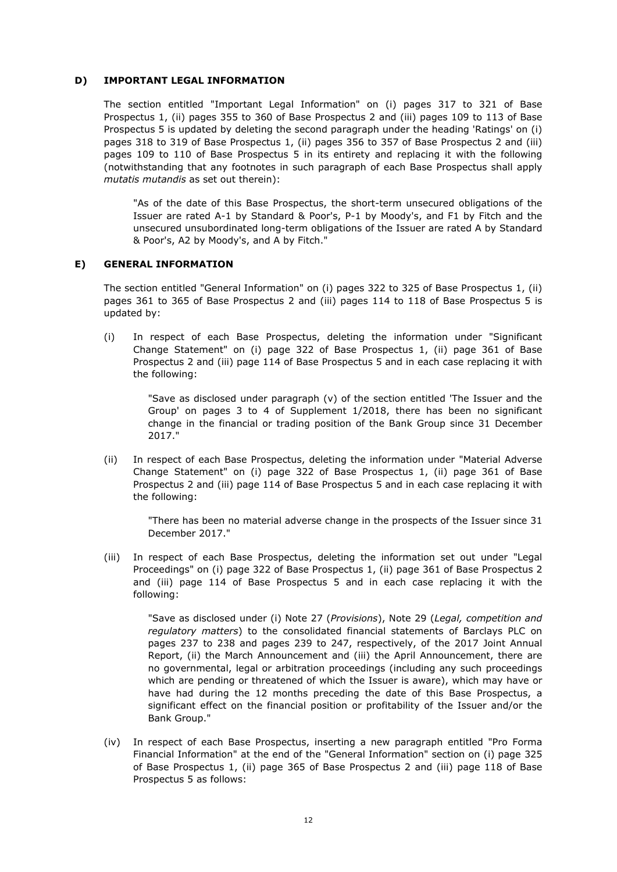## **D) IMPORTANT LEGAL INFORMATION**

The section entitled "Important Legal Information" on (i) pages 317 to 321 of Base Prospectus 1, (ii) pages 355 to 360 of Base Prospectus 2 and (iii) pages 109 to 113 of Base Prospectus 5 is updated by deleting the second paragraph under the heading 'Ratings' on (i) pages 318 to 319 of Base Prospectus 1, (ii) pages 356 to 357 of Base Prospectus 2 and (iii) pages 109 to 110 of Base Prospectus 5 in its entirety and replacing it with the following (notwithstanding that any footnotes in such paragraph of each Base Prospectus shall apply *mutatis mutandis* as set out therein):

"As of the date of this Base Prospectus, the short-term unsecured obligations of the Issuer are rated A-1 by Standard & Poor's, P-1 by Moody's, and F1 by Fitch and the unsecured unsubordinated long-term obligations of the Issuer are rated A by Standard & Poor's, A2 by Moody's, and A by Fitch."

### **E) GENERAL INFORMATION**

The section entitled "General Information" on (i) pages 322 to 325 of Base Prospectus 1, (ii) pages 361 to 365 of Base Prospectus 2 and (iii) pages 114 to 118 of Base Prospectus 5 is updated by:

(i) In respect of each Base Prospectus, deleting the information under "Significant Change Statement" on (i) page 322 of Base Prospectus 1, (ii) page 361 of Base Prospectus 2 and (iii) page 114 of Base Prospectus 5 and in each case replacing it with the following:

"Save as disclosed under paragraph (v) of the section entitled 'The Issuer and the Group' on pages 3 to 4 of Supplement 1/2018, there has been no significant change in the financial or trading position of the Bank Group since 31 December 2017."

(ii) In respect of each Base Prospectus, deleting the information under "Material Adverse Change Statement" on (i) page 322 of Base Prospectus 1, (ii) page 361 of Base Prospectus 2 and (iii) page 114 of Base Prospectus 5 and in each case replacing it with the following:

"There has been no material adverse change in the prospects of the Issuer since 31 December 2017."

(iii) In respect of each Base Prospectus, deleting the information set out under "Legal Proceedings" on (i) page 322 of Base Prospectus 1, (ii) page 361 of Base Prospectus 2 and (iii) page 114 of Base Prospectus 5 and in each case replacing it with the following:

"Save as disclosed under (i) Note 27 (*Provisions*), Note 29 (*Legal, competition and regulatory matters*) to the consolidated financial statements of Barclays PLC on pages 237 to 238 and pages 239 to 247, respectively, of the 2017 Joint Annual Report, (ii) the March Announcement and (iii) the April Announcement, there are no governmental, legal or arbitration proceedings (including any such proceedings which are pending or threatened of which the Issuer is aware), which may have or have had during the 12 months preceding the date of this Base Prospectus, a significant effect on the financial position or profitability of the Issuer and/or the Bank Group."

(iv) In respect of each Base Prospectus, inserting a new paragraph entitled "Pro Forma Financial Information" at the end of the "General Information" section on (i) page 325 of Base Prospectus 1, (ii) page 365 of Base Prospectus 2 and (iii) page 118 of Base Prospectus 5 as follows: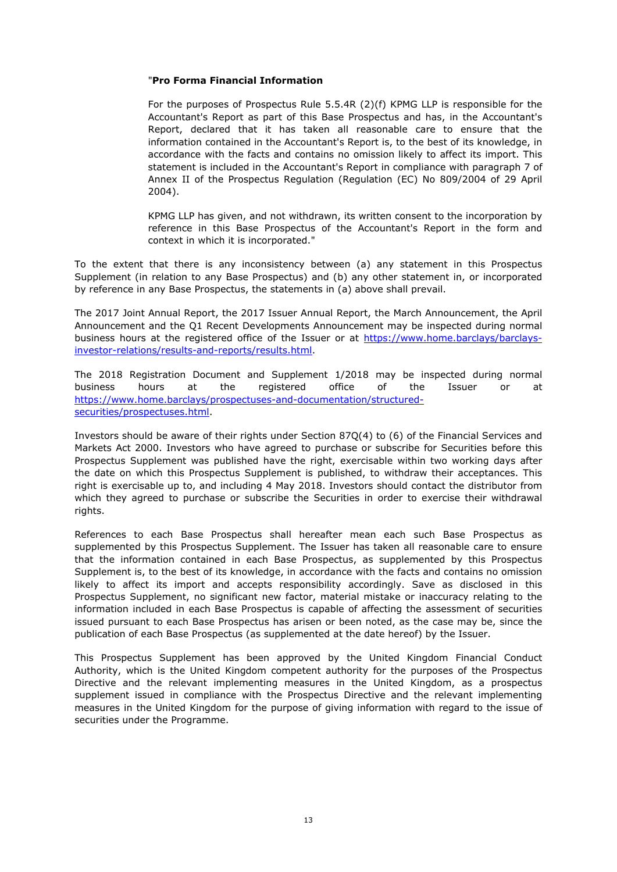## "**Pro Forma Financial Information**

For the purposes of Prospectus Rule 5.5.4R (2)(f) KPMG LLP is responsible for the Accountant's Report as part of this Base Prospectus and has, in the Accountant's Report, declared that it has taken all reasonable care to ensure that the information contained in the Accountant's Report is, to the best of its knowledge, in accordance with the facts and contains no omission likely to affect its import. This statement is included in the Accountant's Report in compliance with paragraph 7 of Annex II of the Prospectus Regulation (Regulation (EC) No 809/2004 of 29 April 2004).

KPMG LLP has given, and not withdrawn, its written consent to the incorporation by reference in this Base Prospectus of the Accountant's Report in the form and context in which it is incorporated."

To the extent that there is any inconsistency between (a) any statement in this Prospectus Supplement (in relation to any Base Prospectus) and (b) any other statement in, or incorporated by reference in any Base Prospectus, the statements in (a) above shall prevail.

The 2017 Joint Annual Report, the 2017 Issuer Annual Report, the March Announcement, the April Announcement and the Q1 Recent Developments Announcement may be inspected during normal business hours at the registered office of the Issuer or at https://www.home.barclays/barclaysinvestor-relations/results-and-reports/results.html.

The 2018 Registration Document and Supplement 1/2018 may be inspected during normal business hours at the registered office of the Issuer or at https://www.home.barclays/prospectuses-and-documentation/structuredsecurities/prospectuses.html.

Investors should be aware of their rights under Section 87Q(4) to (6) of the Financial Services and Markets Act 2000. Investors who have agreed to purchase or subscribe for Securities before this Prospectus Supplement was published have the right, exercisable within two working days after the date on which this Prospectus Supplement is published, to withdraw their acceptances. This right is exercisable up to, and including 4 May 2018. Investors should contact the distributor from which they agreed to purchase or subscribe the Securities in order to exercise their withdrawal rights.

References to each Base Prospectus shall hereafter mean each such Base Prospectus as supplemented by this Prospectus Supplement. The Issuer has taken all reasonable care to ensure that the information contained in each Base Prospectus, as supplemented by this Prospectus Supplement is, to the best of its knowledge, in accordance with the facts and contains no omission likely to affect its import and accepts responsibility accordingly. Save as disclosed in this Prospectus Supplement, no significant new factor, material mistake or inaccuracy relating to the information included in each Base Prospectus is capable of affecting the assessment of securities issued pursuant to each Base Prospectus has arisen or been noted, as the case may be, since the publication of each Base Prospectus (as supplemented at the date hereof) by the Issuer.

This Prospectus Supplement has been approved by the United Kingdom Financial Conduct Authority, which is the United Kingdom competent authority for the purposes of the Prospectus Directive and the relevant implementing measures in the United Kingdom, as a prospectus supplement issued in compliance with the Prospectus Directive and the relevant implementing measures in the United Kingdom for the purpose of giving information with regard to the issue of securities under the Programme.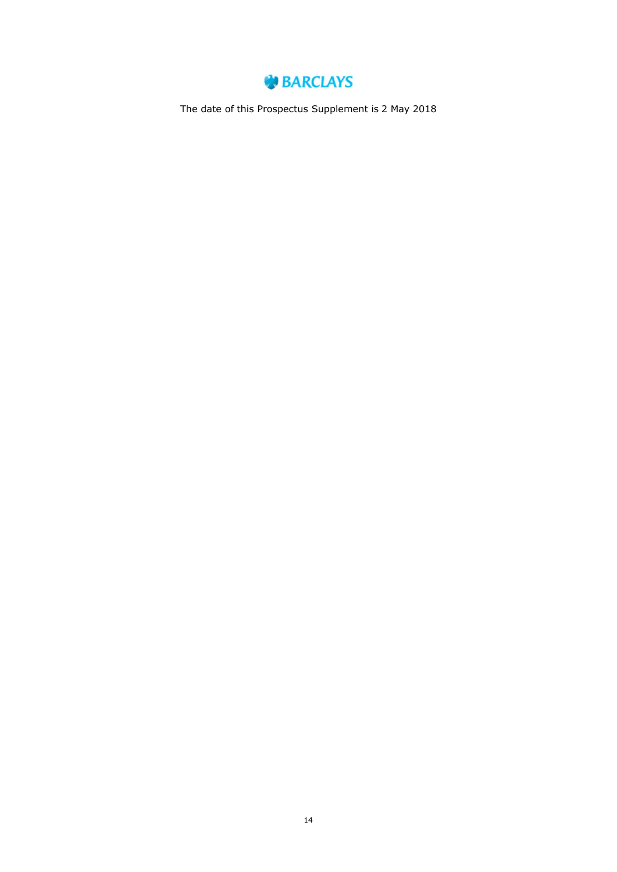

The date of this Prospectus Supplement is 2 May 2018